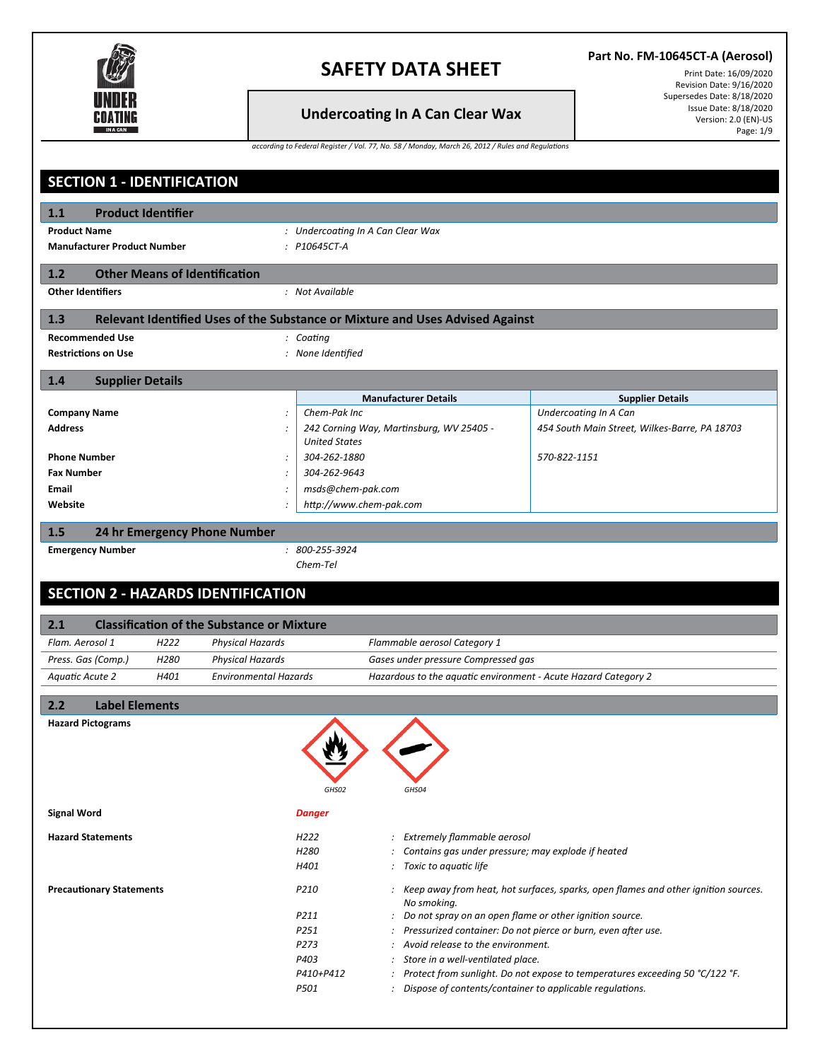

#### **Part No. FM-10645CT-A (Aerosol)**

**Undercoating In A Can Clear Wax** 

Print Date: 16/09/2020 Revision Date: 9/16/2020 Supersedes Date: 8/18/2020 Issue Date: 8/18/2020 Version: 2.0 (EN)-US Page: 1/9

| <b>SECTION 1 - IDENTIFICATION</b>  |                           |                                                                                                |                                              |                                                                               |                                                                                      |
|------------------------------------|---------------------------|------------------------------------------------------------------------------------------------|----------------------------------------------|-------------------------------------------------------------------------------|--------------------------------------------------------------------------------------|
| 1.1                                | <b>Product Identifier</b> |                                                                                                |                                              |                                                                               |                                                                                      |
| <b>Product Name</b>                |                           |                                                                                                | : Undercoating In A Can Clear Wax            |                                                                               |                                                                                      |
| <b>Manufacturer Product Number</b> |                           |                                                                                                | : P10645CT-A                                 |                                                                               |                                                                                      |
| 1.2                                |                           | <b>Other Means of Identification</b>                                                           |                                              |                                                                               |                                                                                      |
| <b>Other Identifiers</b>           |                           |                                                                                                | : Not Available                              |                                                                               |                                                                                      |
| 1.3                                |                           |                                                                                                |                                              | Relevant Identified Uses of the Substance or Mixture and Uses Advised Against |                                                                                      |
| <b>Recommended Use</b>             |                           |                                                                                                | : Coating                                    |                                                                               |                                                                                      |
| <b>Restrictions on Use</b>         |                           |                                                                                                | : None Identified                            |                                                                               |                                                                                      |
| <b>Supplier Details</b><br>1.4     |                           |                                                                                                |                                              |                                                                               |                                                                                      |
|                                    |                           |                                                                                                |                                              | <b>Manufacturer Details</b>                                                   | <b>Supplier Details</b>                                                              |
| <b>Company Name</b>                |                           |                                                                                                | Chem-Pak Inc                                 |                                                                               | Undercoating In A Can                                                                |
| Address                            |                           |                                                                                                |                                              | 242 Corning Way, Martinsburg, WV 25405 -                                      | 454 South Main Street, Wilkes-Barre, PA 18703                                        |
|                                    |                           |                                                                                                | <b>United States</b>                         |                                                                               |                                                                                      |
| <b>Phone Number</b>                |                           |                                                                                                | 304-262-1880                                 |                                                                               | 570-822-1151                                                                         |
| <b>Fax Number</b>                  |                           |                                                                                                | 304-262-9643                                 |                                                                               |                                                                                      |
| Email<br>Website                   |                           |                                                                                                | msds@chem-pak.com<br>http://www.chem-pak.com |                                                                               |                                                                                      |
|                                    |                           |                                                                                                |                                              |                                                                               |                                                                                      |
| 1.5                                |                           | 24 hr Emergency Phone Number                                                                   |                                              |                                                                               |                                                                                      |
| <b>Emergency Number</b>            |                           |                                                                                                | $: 800 - 255 - 3924$<br>Chem-Tel             |                                                                               |                                                                                      |
| 2.1                                |                           | <b>SECTION 2 - HAZARDS IDENTIFICATION</b><br><b>Classification of the Substance or Mixture</b> |                                              |                                                                               |                                                                                      |
| Flam. Aerosol 1                    | H <sub>222</sub>          | Physical Hazards                                                                               |                                              | Flammable aerosol Category 1                                                  |                                                                                      |
| Press. Gas (Comp.)                 | H <sub>280</sub>          | Physical Hazards                                                                               |                                              | Gases under pressure Compressed gas                                           |                                                                                      |
| Aquatic Acute 2                    | H401                      | <b>Environmental Hazards</b>                                                                   |                                              | Hazardous to the aquatic environment - Acute Hazard Category 2                |                                                                                      |
| <b>Label Elements</b><br>2.2       |                           |                                                                                                |                                              |                                                                               |                                                                                      |
| <b>Hazard Pictograms</b>           |                           |                                                                                                | GHS02                                        | GHS04                                                                         |                                                                                      |
| <b>Signal Word</b>                 |                           |                                                                                                | <b>Danger</b>                                |                                                                               |                                                                                      |
| <b>Hazard Statements</b>           |                           |                                                                                                | H222                                         | : Extremely flammable aerosol                                                 |                                                                                      |
|                                    |                           |                                                                                                | H <sub>280</sub>                             | Contains gas under pressure; may explode if heated                            |                                                                                      |
|                                    |                           |                                                                                                | H401                                         | : Toxic to aquatic life                                                       |                                                                                      |
| <b>Precautionary Statements</b>    |                           |                                                                                                | P210                                         | No smoking.                                                                   | : Keep away from heat, hot surfaces, sparks, open flames and other ignition sources. |
|                                    |                           |                                                                                                | P211                                         | Do not spray on an open flame or other ignition source.                       |                                                                                      |
|                                    |                           |                                                                                                | P251                                         | : Avoid release to the environment.                                           | Pressurized container: Do not pierce or burn, even after use.                        |
|                                    |                           |                                                                                                | P273<br>P403                                 | Store in a well-ventilated place.                                             |                                                                                      |
|                                    |                           |                                                                                                | P410+P412                                    |                                                                               | Protect from sunlight. Do not expose to temperatures exceeding 50 °C/122 °F.         |
|                                    |                           |                                                                                                | P501                                         | : Dispose of contents/container to applicable regulations.                    |                                                                                      |
|                                    |                           |                                                                                                |                                              |                                                                               |                                                                                      |
|                                    |                           |                                                                                                |                                              |                                                                               |                                                                                      |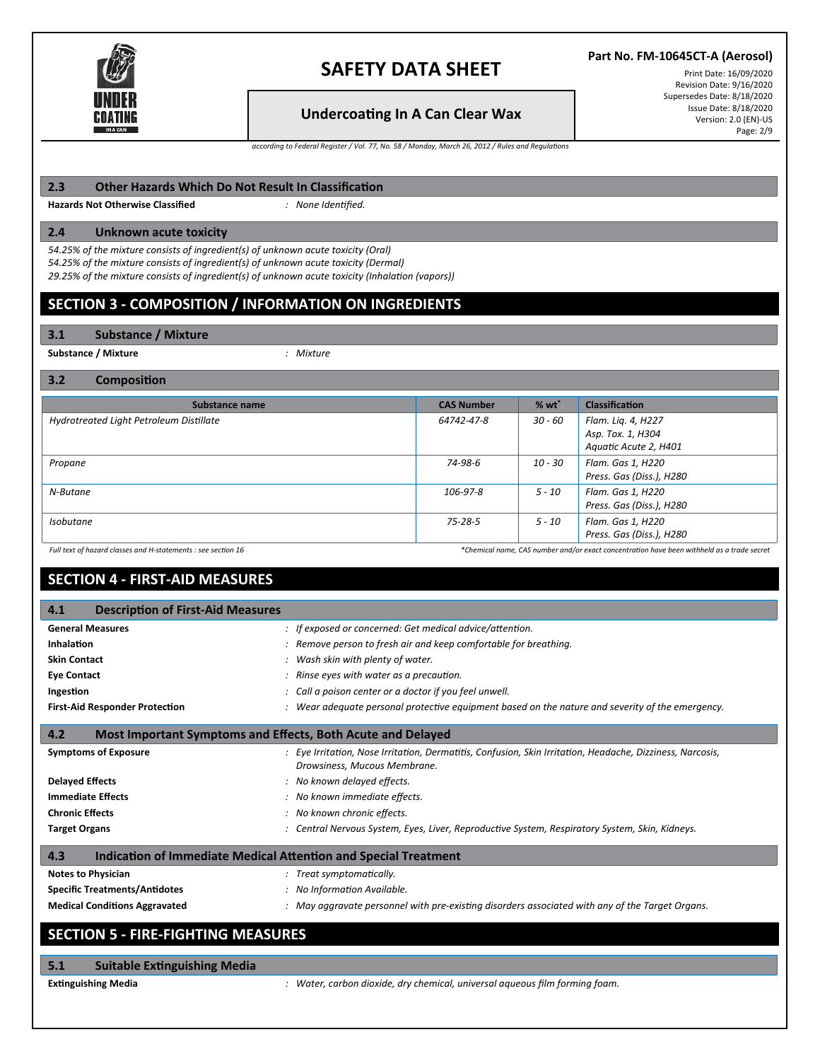

#### **Undercoa�ng In A Can Clear Wax**

**Part No. FM-10645CT-A (Aerosol)**

Print Date: 16/09/2020 Revision Date: 9/16/2020 Supersedes Date: 8/18/2020 Issue Date: 8/18/2020 Version: 2.0 (EN)-US Page: 2/9

*according to Federal Register / Vol. 77, No. 58 / Monday, March 26, 2012 / Rules and Regulations*

#### **2.3 Other Hazards Which Do Not Result In Classifica�on**

**Hazards Not Otherwise Classified** *: None Identified.*

#### **2.4 Unknown acute toxicity**

*54.25% of the mixture consists of ingredient(s) of unknown acute toxicity (Oral) 54.25% of the mixture consists of ingredient(s) of unknown acute toxicity (Dermal) 29.25% of the mixture consists of ingredient(s) of unknown acute toxicity (Inhalation (vapors))*

## **SECTION 3 - COMPOSITION / INFORMATION ON INGREDIENTS**

#### **3.1 Substance / Mixture**

**Substance / Mixture** *: Mixture*

#### **3.2 Composition**

| Substance name                          | <b>CAS Number</b> | $%$ wt $*$ | <b>Classification</b>                                            |
|-----------------------------------------|-------------------|------------|------------------------------------------------------------------|
| Hydrotreated Light Petroleum Distillate | 64742-47-8        | 30 - 60    | Flam. Lig. 4, H227<br>Asp. Tox. 1, H304<br>Aquatic Acute 2, H401 |
| Propane                                 | 74-98-6           | 10 - 30    | Flam. Gas 1, H220<br>Press. Gas (Diss.), H280                    |
| N-Butane                                | 106-97-8          | $5 - 10$   | Flam. Gas 1, H220<br>Press. Gas (Diss.), H280                    |
| <b>Isobutane</b>                        | $75 - 28 - 5$     | $5 - 10$   | Flam. Gas 1, H220<br>Press. Gas (Diss.), H280                    |

Full text of hazard classes and H-statements : see section 16 exception 16 and the section of the section of the section of the section of the section of the section of the section of the section of the section of the sect

## **SECTION 4 - FIRST-AID MEASURES**

| <b>Description of First-Aid Measures</b><br>4.1                               |                                                                                                                                           |
|-------------------------------------------------------------------------------|-------------------------------------------------------------------------------------------------------------------------------------------|
| <b>General Measures</b>                                                       | : If exposed or concerned: Get medical advice/attention.                                                                                  |
| Inhalation                                                                    | : Remove person to fresh air and keep comfortable for breathing.                                                                          |
| <b>Skin Contact</b>                                                           | : Wash skin with plenty of water.                                                                                                         |
| <b>Eye Contact</b>                                                            | : Rinse eyes with water as a precaution.                                                                                                  |
| Ingestion                                                                     | : Call a poison center or a doctor if you feel unwell.                                                                                    |
| <b>First-Aid Responder Protection</b>                                         | : Wear adequate personal protective equipment based on the nature and severity of the emergency.                                          |
| Most Important Symptoms and Effects, Both Acute and Delayed<br>4.2            |                                                                                                                                           |
| <b>Symptoms of Exposure</b>                                                   | : Eye Irritation, Nose Irritation, Dermatitis, Confusion, Skin Irritation, Headache, Dizziness, Narcosis,<br>Drowsiness, Mucous Membrane. |
| <b>Delayed Effects</b>                                                        | : No known delayed effects.                                                                                                               |
| <b>Immediate Effects</b>                                                      | : No known immediate effects.                                                                                                             |
| <b>Chronic Effects</b>                                                        | : No known chronic effects.                                                                                                               |
| <b>Target Organs</b>                                                          | : Central Nervous System, Eyes, Liver, Reproductive System, Respiratory System, Skin, Kidneys.                                            |
| <b>Indication of Immediate Medical Attention and Special Treatment</b><br>4.3 |                                                                                                                                           |
| <b>Notes to Physician</b>                                                     | : Treat symptomatically.                                                                                                                  |
| <b>Specific Treatments/Antidotes</b>                                          | : No Information Available.                                                                                                               |
| <b>Medical Conditions Aggravated</b>                                          | : May aggravate personnel with pre-existing disorders associated with any of the Target Organs.                                           |
| <b>SECTION 5 - FIRE-FIGHTING MEASURES</b>                                     |                                                                                                                                           |

## **5.1 Suitable Ex�nguishing Media**

**Ex�nguishing Media** *: Water, carbon dioxide, dry chemical, universal aqueous film forming foam.*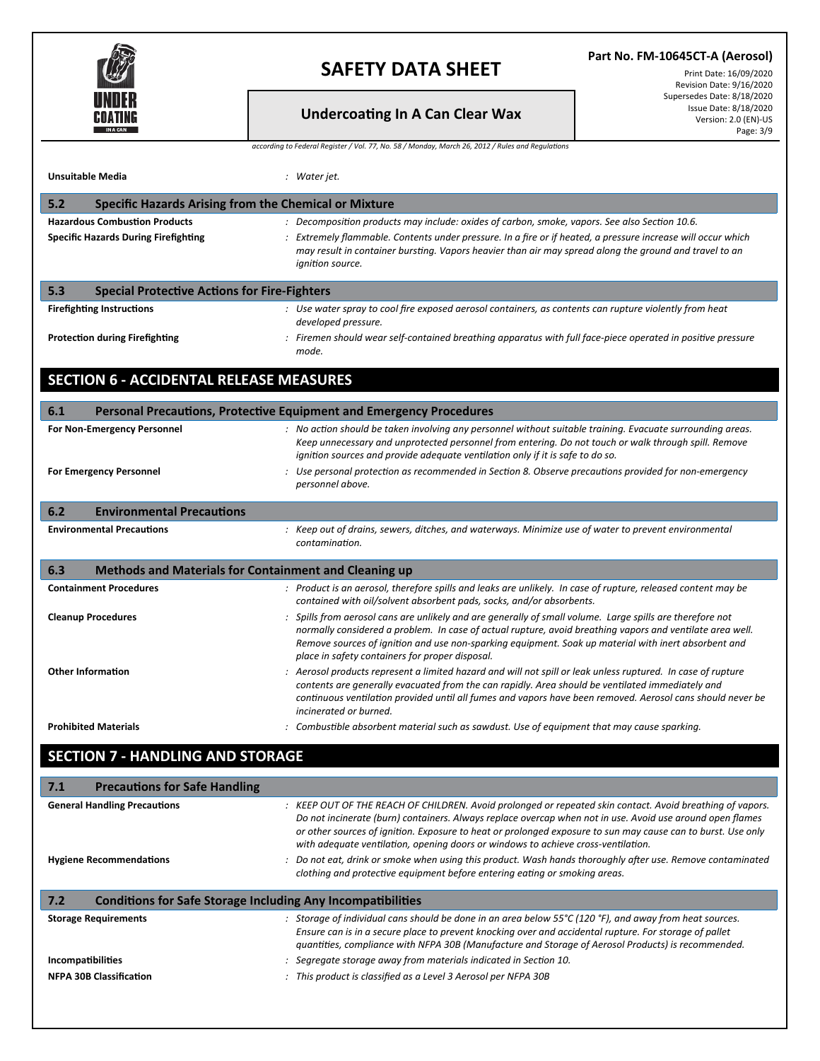

**Part No. FM-10645CT-A (Aerosol)**

## **Undercoa�ng In A Can Clear Wax**

Print Date: 16/09/2020 Revision Date: 9/16/2020 Supersedes Date: 8/18/2020 Issue Date: 8/18/2020 Version: 2.0 (EN)-US Page: 3/9

| Unsuitable Media                                                    | : Water jet.                                                                                                                                                                                                                                                                                                                                                                                                                |
|---------------------------------------------------------------------|-----------------------------------------------------------------------------------------------------------------------------------------------------------------------------------------------------------------------------------------------------------------------------------------------------------------------------------------------------------------------------------------------------------------------------|
| <b>Specific Hazards Arising from the Chemical or Mixture</b><br>5.2 |                                                                                                                                                                                                                                                                                                                                                                                                                             |
| <b>Hazardous Combustion Products</b>                                | : Decomposition products may include: oxides of carbon, smoke, vapors. See also Section 10.6.                                                                                                                                                                                                                                                                                                                               |
| <b>Specific Hazards During Firefighting</b>                         | : Extremely flammable. Contents under pressure. In a fire or if heated, a pressure increase will occur which<br>may result in container bursting. Vapors heavier than air may spread along the ground and travel to an<br>ignition source.                                                                                                                                                                                  |
| 5.3<br><b>Special Protective Actions for Fire-Fighters</b>          |                                                                                                                                                                                                                                                                                                                                                                                                                             |
| <b>Firefighting Instructions</b>                                    | : Use water spray to cool fire exposed aerosol containers, as contents can rupture violently from heat<br>developed pressure.                                                                                                                                                                                                                                                                                               |
| <b>Protection during Firefighting</b>                               | : Firemen should wear self-contained breathing apparatus with full face-piece operated in positive pressure<br>mode.                                                                                                                                                                                                                                                                                                        |
| <b>SECTION 6 - ACCIDENTAL RELEASE MEASURES</b>                      |                                                                                                                                                                                                                                                                                                                                                                                                                             |
| 6.1                                                                 | Personal Precautions, Protective Equipment and Emergency Procedures                                                                                                                                                                                                                                                                                                                                                         |
| For Non-Emergency Personnel                                         | : No action should be taken involving any personnel without suitable training. Evacuate surrounding areas.<br>Keep unnecessary and unprotected personnel from entering. Do not touch or walk through spill. Remove<br>ignition sources and provide adequate ventilation only if it is safe to do so.                                                                                                                        |
| <b>For Emergency Personnel</b>                                      | : Use personal protection as recommended in Section 8. Observe precautions provided for non-emergency<br>personnel above.                                                                                                                                                                                                                                                                                                   |
| <b>Environmental Precautions</b><br>6.2                             |                                                                                                                                                                                                                                                                                                                                                                                                                             |
| <b>Environmental Precautions</b>                                    | : Keep out of drains, sewers, ditches, and waterways. Minimize use of water to prevent environmental<br>contamination.                                                                                                                                                                                                                                                                                                      |
| <b>Methods and Materials for Containment and Cleaning up</b><br>6.3 |                                                                                                                                                                                                                                                                                                                                                                                                                             |
| <b>Containment Procedures</b>                                       | : Product is an aerosol, therefore spills and leaks are unlikely. In case of rupture, released content may be<br>contained with oil/solvent absorbent pads, socks, and/or absorbents.                                                                                                                                                                                                                                       |
| <b>Cleanup Procedures</b>                                           | : Spills from aerosol cans are unlikely and are generally of small volume. Large spills are therefore not<br>normally considered a problem. In case of actual rupture, avoid breathing vapors and ventilate area well.<br>Remove sources of ignition and use non-sparking equipment. Soak up material with inert absorbent and<br>place in safety containers for proper disposal.                                           |
| <b>Other Information</b>                                            | : Aerosol products represent a limited hazard and will not spill or leak unless ruptured. In case of rupture<br>contents are generally evacuated from the can rapidly. Area should be ventilated immediately and<br>continuous ventilation provided until all fumes and vapors have been removed. Aerosol cans should never be<br>incinerated or burned.                                                                    |
| <b>Prohibited Materials</b>                                         | : Combustible absorbent material such as sawdust. Use of equipment that may cause sparking.                                                                                                                                                                                                                                                                                                                                 |
| <b>SECTION 7 - HANDLING AND STORAGE</b>                             |                                                                                                                                                                                                                                                                                                                                                                                                                             |
| <b>Precautions for Safe Handling</b><br>7.1                         |                                                                                                                                                                                                                                                                                                                                                                                                                             |
| <b>General Handling Precautions</b>                                 | : KEEP OUT OF THE REACH OF CHILDREN. Avoid prolonged or repeated skin contact. Avoid breathing of vapors.<br>Do not incinerate (burn) containers. Always replace overcap when not in use. Avoid use around open flames<br>or other sources of ignition. Exposure to heat or prolonged exposure to sun may cause can to burst. Use only<br>with adequate ventilation, opening doors or windows to achieve cross-ventilation. |
| <b>Hygiene Recommendations</b>                                      | : Do not eat, drink or smoke when using this product. Wash hands thoroughly after use. Remove contaminated<br>clothing and protective equipment before entering eating or smoking areas.                                                                                                                                                                                                                                    |
| 7.2                                                                 | <b>Conditions for Safe Storage Including Any Incompatibilities</b>                                                                                                                                                                                                                                                                                                                                                          |
| <b>Storage Requirements</b>                                         | : Storage of individual cans should be done in an area below $55^{\circ}$ C (120 $^{\circ}$ F), and away from heat sources.<br>Ensure can is in a secure place to prevent knocking over and accidental rupture. For storage of pallet                                                                                                                                                                                       |
| Incompatibilities                                                   | quantities, compliance with NFPA 30B (Manufacture and Storage of Aerosol Products) is recommended.<br>: Segregate storage away from materials indicated in Section 10.                                                                                                                                                                                                                                                      |
| <b>NFPA 30B Classification</b>                                      | : This product is classified as a Level 3 Aerosol per NFPA 30B                                                                                                                                                                                                                                                                                                                                                              |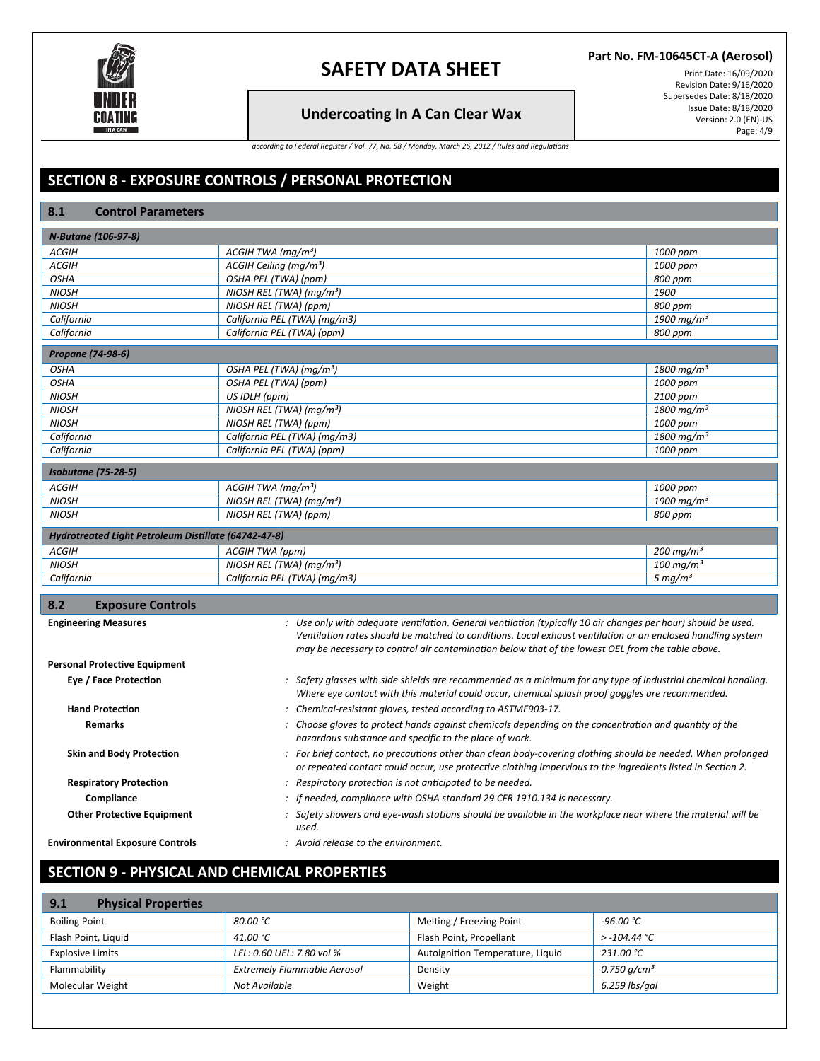

#### **Part No. FM-10645CT-A (Aerosol)**

Print Date: 16/09/2020 Revision Date: 9/16/2020 Supersedes Date: 8/18/2020 Issue Date: 8/18/2020 Version: 2.0 (EN)-US Page: 4/9

## **Undercoa�ng In A Can Clear Wax**

*according to Federal Register / Vol. 77, No. 58 / Monday, March 26, 2012 / Rules and Regulations*

# **SECTION 8 - EXPOSURE CONTROLS / PERSONAL PROTECTION**

#### **8.1 Control Parameters**

| N-Butane (106-97-8)                                  |                                     |                         |
|------------------------------------------------------|-------------------------------------|-------------------------|
| <b>ACGIH</b>                                         | ACGIH TWA ( $mq/m3$ )               | 1000 ppm                |
| <b>ACGIH</b>                                         | ACGIH Ceiling (mg/m <sup>3</sup> )  | 1000 ppm                |
| <b>OSHA</b>                                          | OSHA PEL (TWA) (ppm)                | 800 ppm                 |
| <b>NIOSH</b>                                         | NIOSH REL (TWA) ( $mq/m3$ )         | 1900                    |
| <b>NIOSH</b>                                         | NIOSH REL (TWA) (ppm)               | 800 ppm                 |
| California                                           | California PEL (TWA) (mg/m3)        | 1900 mg/m <sup>3</sup>  |
| California                                           | California PEL (TWA) (ppm)          | 800 ppm                 |
| Propane (74-98-6)                                    |                                     |                         |
| <b>OSHA</b>                                          | OSHA PEL (TWA) (mg/m <sup>3</sup> ) | 1800 mg/m <sup>3</sup>  |
| <b>OSHA</b>                                          | OSHA PEL (TWA) (ppm)                | 1000 ppm                |
| <b>NIOSH</b>                                         | US IDLH (ppm)                       | 2100 ppm                |
| <b>NIOSH</b>                                         | NIOSH REL (TWA) $(mg/m^3)$          | 1800 mg/m <sup>3</sup>  |
| <b>NIOSH</b>                                         | NIOSH REL (TWA) (ppm)               | 1000 ppm                |
| California                                           | California PEL (TWA) (mg/m3)        | 1800 mg/m <sup>3</sup>  |
| California                                           | California PEL (TWA) (ppm)          | 1000 ppm                |
| <b>Isobutane (75-28-5)</b>                           |                                     |                         |
| <b>ACGIH</b>                                         | ACGIH TWA (mq/m <sup>3</sup> )      | 1000 ppm                |
| <b>NIOSH</b>                                         | NIOSH REL (TWA) ( $mg/m3$ )         | 1900 mg/m <sup>3</sup>  |
| <b>NIOSH</b>                                         | NIOSH REL (TWA) (ppm)               | 800 ppm                 |
| Hydrotreated Light Petroleum Distillate (64742-47-8) |                                     |                         |
| <b>ACGIH</b>                                         | ACGIH TWA (ppm)                     | 200 mg/m <sup>3</sup>   |
| <b>NIOSH</b>                                         | NIOSH REL (TWA) ( $mg/m3$ )         | $100$ mg/m <sup>3</sup> |
| California                                           | California PEL (TWA) (mg/m3)        | 5 mg/m <sup>3</sup>     |
|                                                      |                                     |                         |

| 8.2<br><b>Exposure Controls</b>        |                                                                                                                                                                                                                                                                                                                                  |
|----------------------------------------|----------------------------------------------------------------------------------------------------------------------------------------------------------------------------------------------------------------------------------------------------------------------------------------------------------------------------------|
| <b>Engineering Measures</b>            | : Use only with adequate ventilation. General ventilation (typically 10 air changes per hour) should be used.<br>Ventilation rates should be matched to conditions. Local exhaust ventilation or an enclosed handling system<br>may be necessary to control air contamination below that of the lowest OEL from the table above. |
| <b>Personal Protective Equipment</b>   |                                                                                                                                                                                                                                                                                                                                  |
| Eye / Face Protection                  | : Safety glasses with side shields are recommended as a minimum for any type of industrial chemical handling.<br>Where eye contact with this material could occur, chemical splash proof goggles are recommended.                                                                                                                |
| <b>Hand Protection</b>                 | : Chemical-resistant gloves, tested according to ASTMF903-17.                                                                                                                                                                                                                                                                    |
| <b>Remarks</b>                         | : Choose gloves to protect hands against chemicals depending on the concentration and quantity of the<br>hazardous substance and specific to the place of work.                                                                                                                                                                  |
| <b>Skin and Body Protection</b>        | : For brief contact, no precautions other than clean body-covering clothing should be needed. When prolonged<br>or repeated contact could occur, use protective clothing impervious to the ingredients listed in Section 2.                                                                                                      |
| <b>Respiratory Protection</b>          | : Respiratory protection is not anticipated to be needed.                                                                                                                                                                                                                                                                        |
| Compliance                             | : If needed, compliance with OSHA standard 29 CFR 1910.134 is necessary.                                                                                                                                                                                                                                                         |
| <b>Other Protective Equipment</b>      | : Safety showers and eye-wash stations should be available in the workplace near where the material will be<br>used.                                                                                                                                                                                                             |
| <b>Environmental Exposure Controls</b> | : Avoid release to the environment.                                                                                                                                                                                                                                                                                              |

# **SECTION 9 - PHYSICAL AND CHEMICAL PROPERTIES**

| 9.1<br><b>Physical Properties</b> |                                    |                                  |                  |
|-----------------------------------|------------------------------------|----------------------------------|------------------|
| <b>Boiling Point</b>              | 80.00 °C                           | Melting / Freezing Point         | -96.00 °C        |
| Flash Point, Liquid               | 41.00 °C                           | Flash Point, Propellant          | $> -104.44$ °C   |
| <b>Explosive Limits</b>           | LEL: 0.60 UEL: 7.80 vol %          | Autoignition Temperature, Liquid | 231.00 °C        |
| Flammability                      | <b>Extremely Flammable Aerosol</b> | Density                          | 0.750 $q/cm^{3}$ |
| Molecular Weight                  | Not Available                      | Weight                           | 6.259 lbs/gal    |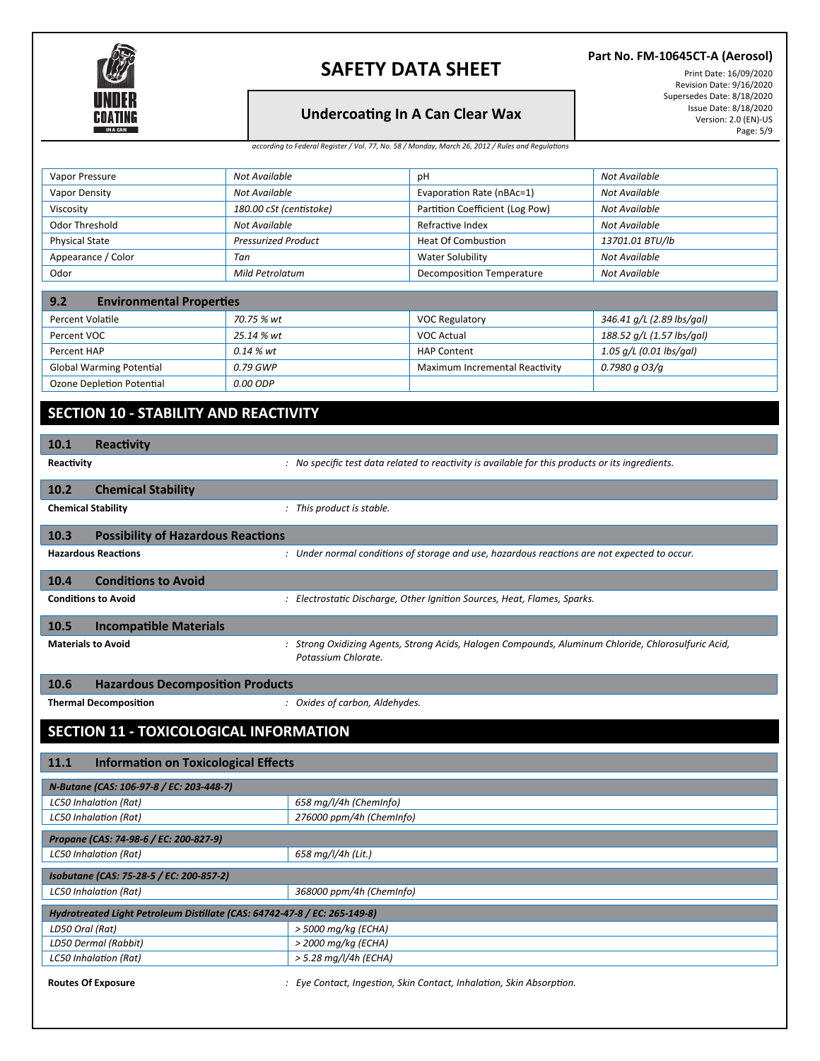

#### **Part No. FM-10645CT-A (Aerosol)**

## **Undercoa�ng In A Can Clear Wax**

Print Date: 16/09/2020 Revision Date: 9/16/2020 Supersedes Date: 8/18/2020 Issue Date: 8/18/2020 Version: 2.0 (EN)-US Page: 5/9

| Vapor Pressure                                                                                         | Not Available                                                             | рH                                                                                                  | Not Available             |  |  |
|--------------------------------------------------------------------------------------------------------|---------------------------------------------------------------------------|-----------------------------------------------------------------------------------------------------|---------------------------|--|--|
| <b>Vapor Density</b>                                                                                   | Not Available                                                             | Evaporation Rate (nBAc=1)                                                                           | Not Available             |  |  |
| Viscosity                                                                                              | 180.00 cSt (centistoke)                                                   | Partition Coefficient (Log Pow)                                                                     | <b>Not Available</b>      |  |  |
| Odor Threshold                                                                                         | Not Available                                                             | Refractive Index                                                                                    | Not Available             |  |  |
| <b>Physical State</b>                                                                                  | <b>Pressurized Product</b>                                                | <b>Heat Of Combustion</b>                                                                           | 13701.01 BTU/lb           |  |  |
| Appearance / Color                                                                                     | Tan                                                                       | <b>Water Solubility</b>                                                                             | Not Available             |  |  |
| Odor                                                                                                   | Mild Petrolatum                                                           | Decomposition Temperature                                                                           | Not Available             |  |  |
|                                                                                                        |                                                                           |                                                                                                     |                           |  |  |
| 9.2<br><b>Environmental Properties</b>                                                                 |                                                                           |                                                                                                     |                           |  |  |
| Percent Volatile                                                                                       | 70.75 % wt                                                                | <b>VOC Regulatory</b>                                                                               | 346.41 g/L (2.89 lbs/gal) |  |  |
| Percent VOC                                                                                            | 25.14 % wt                                                                | <b>VOC Actual</b>                                                                                   | 188.52 g/L (1.57 lbs/gal) |  |  |
| Percent HAP                                                                                            | 0.14 % wt                                                                 | <b>HAP Content</b>                                                                                  | 1.05 g/L (0.01 lbs/gal)   |  |  |
| <b>Global Warming Potential</b>                                                                        | 0.79 GWP                                                                  | Maximum Incremental Reactivity                                                                      | 0.7980 g O3/g             |  |  |
| Ozone Depletion Potential                                                                              | 0.00 ODP                                                                  |                                                                                                     |                           |  |  |
|                                                                                                        |                                                                           |                                                                                                     |                           |  |  |
| SECTION 10 - STABILITY AND REACTIVITY                                                                  |                                                                           |                                                                                                     |                           |  |  |
|                                                                                                        |                                                                           |                                                                                                     |                           |  |  |
| 10.1<br><b>Reactivity</b>                                                                              |                                                                           |                                                                                                     |                           |  |  |
| Reactivity                                                                                             |                                                                           | : No specific test data related to reactivity is available for this products or its ingredients.    |                           |  |  |
| <b>Chemical Stability</b><br>10.2                                                                      |                                                                           |                                                                                                     |                           |  |  |
| <b>Chemical Stability</b>                                                                              |                                                                           |                                                                                                     |                           |  |  |
|                                                                                                        | : This product is stable.                                                 |                                                                                                     |                           |  |  |
| 10.3<br><b>Possibility of Hazardous Reactions</b>                                                      |                                                                           |                                                                                                     |                           |  |  |
| <b>Hazardous Reactions</b>                                                                             |                                                                           | : Under normal conditions of storage and use, hazardous reactions are not expected to occur.        |                           |  |  |
|                                                                                                        |                                                                           |                                                                                                     |                           |  |  |
| <b>Conditions to Avoid</b><br>10.4                                                                     |                                                                           |                                                                                                     |                           |  |  |
| <b>Conditions to Avoid</b><br>: Electrostatic Discharge, Other Ignition Sources, Heat, Flames, Sparks. |                                                                           |                                                                                                     |                           |  |  |
|                                                                                                        |                                                                           |                                                                                                     |                           |  |  |
| 10.5<br><b>Incompatible Materials</b>                                                                  |                                                                           |                                                                                                     |                           |  |  |
| <b>Materials to Avoid</b>                                                                              | Potassium Chlorate.                                                       | : Strong Oxidizing Agents, Strong Acids, Halogen Compounds, Aluminum Chloride, Chlorosulfuric Acid, |                           |  |  |
|                                                                                                        |                                                                           |                                                                                                     |                           |  |  |
| 10.6<br><b>Hazardous Decomposition Products</b>                                                        |                                                                           |                                                                                                     |                           |  |  |
| <b>Thermal Decomposition</b>                                                                           | : Oxides of carbon, Aldehydes.                                            |                                                                                                     |                           |  |  |
|                                                                                                        |                                                                           |                                                                                                     |                           |  |  |
| SECTION 11 - TOXICOLOGICAL INFORMATION                                                                 |                                                                           |                                                                                                     |                           |  |  |
|                                                                                                        |                                                                           |                                                                                                     |                           |  |  |
| 11.1<br><b>Information on Toxicological Effects</b>                                                    |                                                                           |                                                                                                     |                           |  |  |
| N-Butane (CAS: 106-97-8 / EC: 203-448-7)                                                               |                                                                           |                                                                                                     |                           |  |  |
| <b>LC50 Inhalation (Rat)</b>                                                                           | 658 mg/l/4h (ChemInfo)                                                    |                                                                                                     |                           |  |  |
| 276000 ppm/4h (ChemInfo)<br><b>LC50 Inhalation (Rat)</b>                                               |                                                                           |                                                                                                     |                           |  |  |
|                                                                                                        |                                                                           |                                                                                                     |                           |  |  |
| Propane (CAS: 74-98-6 / EC: 200-827-9)                                                                 |                                                                           |                                                                                                     |                           |  |  |
| <b>LC50 Inhalation (Rat)</b>                                                                           | 658 mg/l/4h (Lit.)                                                        |                                                                                                     |                           |  |  |
| Isobutane (CAS: 75-28-5 / EC: 200-857-2)                                                               |                                                                           |                                                                                                     |                           |  |  |
| LC50 Inhalation (Rat)                                                                                  | 368000 ppm/4h (ChemInfo)                                                  |                                                                                                     |                           |  |  |
|                                                                                                        | Hydrotreated Light Petroleum Distillate (CAS: 64742-47-8 / EC: 265-149-8) |                                                                                                     |                           |  |  |
| LD50 Oral (Rat)                                                                                        | > 5000 mg/kg (ECHA)                                                       |                                                                                                     |                           |  |  |
| LD50 Dermal (Rabbit)                                                                                   | > 2000 mg/kg (ECHA)                                                       |                                                                                                     |                           |  |  |
| <b>LC50 Inhalation (Rat)</b>                                                                           | > 5.28 mg/l/4h (ECHA)                                                     |                                                                                                     |                           |  |  |
|                                                                                                        |                                                                           |                                                                                                     |                           |  |  |
| <b>Routes Of Exposure</b>                                                                              |                                                                           | : Eye Contact, Ingestion, Skin Contact, Inhalation, Skin Absorption.                                |                           |  |  |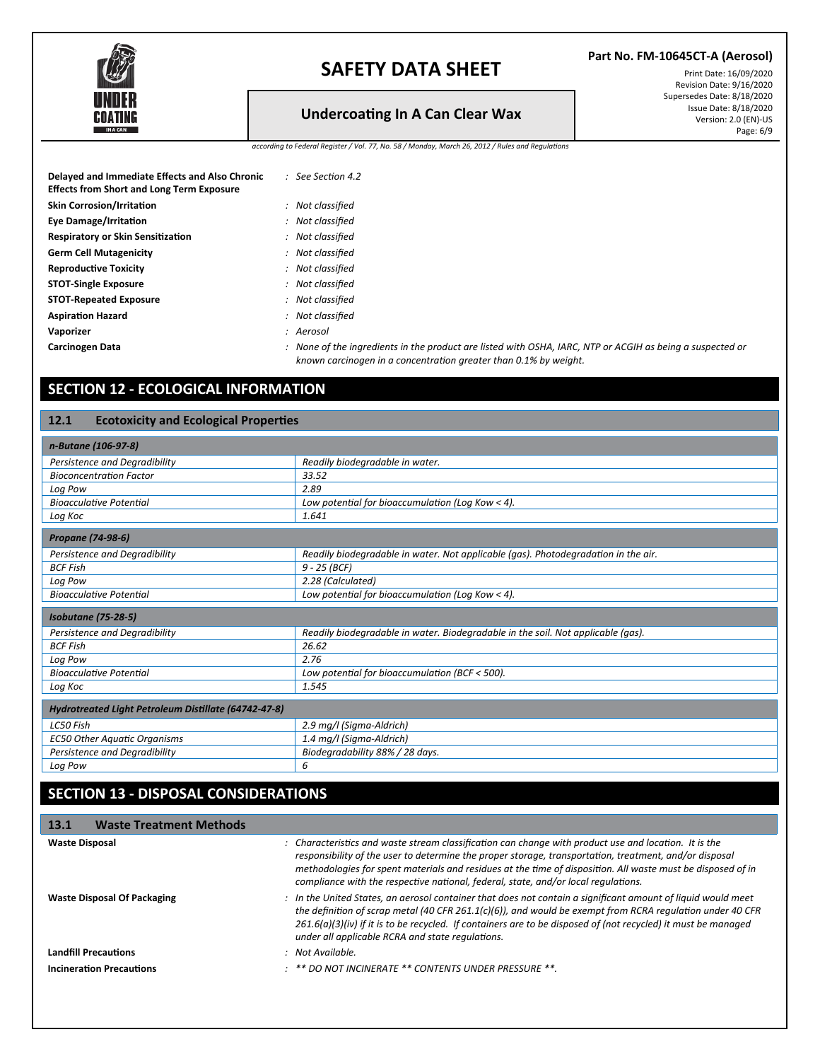

#### **Part No. FM-10645CT-A (Aerosol)**

## **Undercoa�ng In A Can Clear Wax**

Print Date: 16/09/2020 Revision Date: 9/16/2020 Supersedes Date: 8/18/2020 Issue Date: 8/18/2020 Version: 2.0 (EN)-US Page: 6/9

*according to Federal Register / Vol. 77, No. 58 / Monday, March 26, 2012 / Rules and Regulations*

| Delayed and Immediate Effects and Also Chronic<br><b>Effects from Short and Long Term Exposure</b> | $\therefore$ See Section 4.2                                                                                                                                                  |
|----------------------------------------------------------------------------------------------------|-------------------------------------------------------------------------------------------------------------------------------------------------------------------------------|
| <b>Skin Corrosion/Irritation</b>                                                                   | : Not classified                                                                                                                                                              |
| <b>Eye Damage/Irritation</b>                                                                       | : Not classified                                                                                                                                                              |
| <b>Respiratory or Skin Sensitization</b>                                                           | : Not classified                                                                                                                                                              |
| <b>Germ Cell Mutagenicity</b>                                                                      | : Not classified                                                                                                                                                              |
| <b>Reproductive Toxicity</b>                                                                       | : Not classified                                                                                                                                                              |
| <b>STOT-Single Exposure</b>                                                                        | : Not classified                                                                                                                                                              |
| <b>STOT-Repeated Exposure</b>                                                                      | : Not classified                                                                                                                                                              |
| <b>Aspiration Hazard</b>                                                                           | : Not classified                                                                                                                                                              |
| Vaporizer                                                                                          | : Aerosol                                                                                                                                                                     |
| <b>Carcinogen Data</b>                                                                             | : None of the ingredients in the product are listed with OSHA, IARC, NTP or ACGIH as being a suspected or<br>known carcinogen in a concentration greater than 0.1% by weight. |

## **SECTION 12 - ECOLOGICAL INFORMATION**

## **12.1 Ecotoxicity and Ecological Proper�es**

| n-Butane (106-97-8)                                  |                                                                                    |
|------------------------------------------------------|------------------------------------------------------------------------------------|
| Persistence and Degradibility                        | Readily biodegradable in water.                                                    |
| <b>Bioconcentration Factor</b>                       | 33.52                                                                              |
| Log Pow                                              | 2.89                                                                               |
| <b>Bioacculative Potential</b>                       | Low potential for bioaccumulation (Log Kow < 4).                                   |
| Log Koc                                              | 1.641                                                                              |
| Propane (74-98-6)                                    |                                                                                    |
| Persistence and Degradibility                        | Readily biodegradable in water. Not applicable (gas). Photodegradation in the air. |
| <b>BCF Fish</b>                                      | $9 - 25$ (BCF)                                                                     |
| Log Pow                                              | 2.28 (Calculated)                                                                  |
| <b>Bioacculative Potential</b>                       | Low potential for bioaccumulation (Log Kow $<$ 4).                                 |
|                                                      |                                                                                    |
| <b>Isobutane (75-28-5)</b>                           |                                                                                    |
| Persistence and Degradibility                        | Readily biodegradable in water. Biodegradable in the soil. Not applicable (qas).   |
| <b>BCF Fish</b>                                      | 26.62                                                                              |
| Log Pow                                              | 2.76                                                                               |
| <b>Bioacculative Potential</b>                       | Low potential for bioaccumulation (BCF < 500).                                     |
| Log Koc                                              | 1.545                                                                              |
| Hydrotreated Light Petroleum Distillate (64742-47-8) |                                                                                    |
| LC50 Fish                                            | 2.9 mg/l (Sigma-Aldrich)                                                           |
| <b>EC50 Other Aquatic Organisms</b>                  | 1.4 mg/l (Sigma-Aldrich)                                                           |
| Persistence and Degradibility                        | Biodegradability 88% / 28 days.                                                    |

## **SECTION 13 - DISPOSAL CONSIDERATIONS**

| <b>Waste Treatment Methods</b><br>13.1 |                                                                                                                                                                                                                                                                                                                                                                                                                      |
|----------------------------------------|----------------------------------------------------------------------------------------------------------------------------------------------------------------------------------------------------------------------------------------------------------------------------------------------------------------------------------------------------------------------------------------------------------------------|
| <b>Waste Disposal</b>                  | : Characteristics and waste stream classification can change with product use and location. It is the<br>responsibility of the user to determine the proper storage, transportation, treatment, and/or disposal<br>methodologies for spent materials and residues at the time of disposition. All waste must be disposed of in<br>compliance with the respective national, federal, state, and/or local requlations. |
| <b>Waste Disposal Of Packaging</b>     | : In the United States, an aerosol container that does not contain a significant amount of liquid would meet<br>the definition of scrap metal (40 CFR 261.1(c)(6)), and would be exempt from RCRA regulation under 40 CFR<br>$261.6(a)(3)(iv)$ if it is to be recycled. If containers are to be disposed of (not recycled) it must be managed<br>under all applicable RCRA and state regulations.                    |
| <b>Landfill Precautions</b>            | : Not Available.                                                                                                                                                                                                                                                                                                                                                                                                     |
| <b>Incineration Precautions</b>        | : ** DO NOT INCINERATE ** CONTENTS UNDER PRESSURE **.                                                                                                                                                                                                                                                                                                                                                                |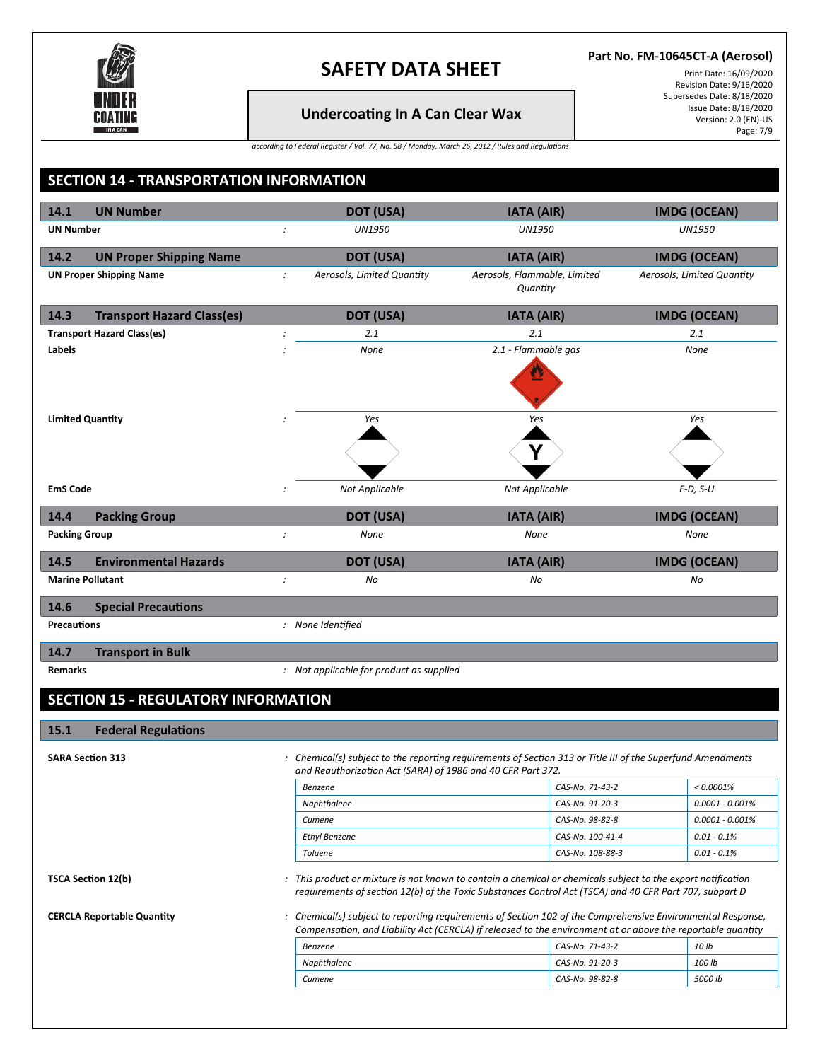

**Part No. FM-10645CT-A (Aerosol)**

## **Undercoa�ng In A Can Clear Wax**

Print Date: 16/09/2020 Revision Date: 9/16/2020 Supersedes Date: 8/18/2020 Issue Date: 8/18/2020 Version: 2.0 (EN)-US Page: 7/9

| <b>UN Number</b><br>14.1                                       | <b>DOT (USA)</b>                                            | <b>IATA (AIR)</b>                                                                                                                                                                                                                                                                                                                                                                                                                                     | <b>IMDG (OCEAN)</b>        |
|----------------------------------------------------------------|-------------------------------------------------------------|-------------------------------------------------------------------------------------------------------------------------------------------------------------------------------------------------------------------------------------------------------------------------------------------------------------------------------------------------------------------------------------------------------------------------------------------------------|----------------------------|
| <b>UN Number</b>                                               | <b>UN1950</b><br>$\ddot{\cdot}$                             | <b>UN1950</b>                                                                                                                                                                                                                                                                                                                                                                                                                                         | <b>UN1950</b>              |
| 14.2                                                           |                                                             | <b>IATA (AIR)</b>                                                                                                                                                                                                                                                                                                                                                                                                                                     |                            |
| <b>UN Proper Shipping Name</b>                                 | <b>DOT (USA)</b>                                            |                                                                                                                                                                                                                                                                                                                                                                                                                                                       | <b>IMDG (OCEAN)</b>        |
| <b>UN Proper Shipping Name</b>                                 | Aerosols, Limited Quantity<br>÷                             | Aerosols, Flammable, Limited<br>Quantity                                                                                                                                                                                                                                                                                                                                                                                                              | Aerosols, Limited Quantity |
| <b>Transport Hazard Class(es)</b><br>14.3                      | <b>DOT (USA)</b>                                            | <b>IATA (AIR)</b>                                                                                                                                                                                                                                                                                                                                                                                                                                     | <b>IMDG (OCEAN)</b>        |
| <b>Transport Hazard Class(es)</b>                              | 2.1<br>$\ddot{\cdot}$                                       | 2.1                                                                                                                                                                                                                                                                                                                                                                                                                                                   | 2.1                        |
| Labels                                                         | <b>None</b>                                                 | 2.1 - Flammable gas                                                                                                                                                                                                                                                                                                                                                                                                                                   | None                       |
|                                                                |                                                             |                                                                                                                                                                                                                                                                                                                                                                                                                                                       |                            |
| <b>Limited Quantity</b>                                        | Yes                                                         | Yes                                                                                                                                                                                                                                                                                                                                                                                                                                                   | Yes                        |
|                                                                |                                                             |                                                                                                                                                                                                                                                                                                                                                                                                                                                       |                            |
|                                                                |                                                             | Y                                                                                                                                                                                                                                                                                                                                                                                                                                                     |                            |
|                                                                |                                                             |                                                                                                                                                                                                                                                                                                                                                                                                                                                       |                            |
| <b>EmS Code</b>                                                | Not Applicable<br>$\cdot$                                   | Not Applicable                                                                                                                                                                                                                                                                                                                                                                                                                                        | $F-D, S-U$                 |
| <b>Packing Group</b><br>14.4                                   | <b>DOT (USA)</b>                                            | <b>IATA (AIR)</b>                                                                                                                                                                                                                                                                                                                                                                                                                                     | <b>IMDG (OCEAN)</b>        |
| <b>Packing Group</b>                                           | $\dot{\cdot}$<br>None                                       | None                                                                                                                                                                                                                                                                                                                                                                                                                                                  | None                       |
| <b>Environmental Hazards</b><br>14.5                           | <b>DOT (USA)</b>                                            | <b>IATA (AIR)</b>                                                                                                                                                                                                                                                                                                                                                                                                                                     | <b>IMDG (OCEAN)</b>        |
| <b>Marine Pollutant</b>                                        | $\ddot{\cdot}$<br>No                                        | No                                                                                                                                                                                                                                                                                                                                                                                                                                                    | No                         |
| <b>Special Precautions</b><br>14.6                             |                                                             |                                                                                                                                                                                                                                                                                                                                                                                                                                                       |                            |
| <b>Precautions</b>                                             | : None Identified                                           |                                                                                                                                                                                                                                                                                                                                                                                                                                                       |                            |
| 14.7                                                           |                                                             |                                                                                                                                                                                                                                                                                                                                                                                                                                                       |                            |
| <b>Transport in Bulk</b><br><b>Remarks</b>                     | : Not applicable for product as supplied                    |                                                                                                                                                                                                                                                                                                                                                                                                                                                       |                            |
|                                                                |                                                             |                                                                                                                                                                                                                                                                                                                                                                                                                                                       |                            |
| <b>SECTION 15 - REGULATORY INFORMATION</b>                     |                                                             |                                                                                                                                                                                                                                                                                                                                                                                                                                                       |                            |
| <b>Federal Regulations</b><br>15.1                             |                                                             |                                                                                                                                                                                                                                                                                                                                                                                                                                                       |                            |
| <b>SARA Section 313</b>                                        |                                                             | : Chemical(s) subject to the reporting requirements of Section 313 or Title III of the Superfund Amendments                                                                                                                                                                                                                                                                                                                                           |                            |
|                                                                | and Reauthorization Act (SARA) of 1986 and 40 CFR Part 372. |                                                                                                                                                                                                                                                                                                                                                                                                                                                       |                            |
|                                                                | Benzene                                                     | CAS-No. 71-43-2                                                                                                                                                                                                                                                                                                                                                                                                                                       | $< 0.0001\%$               |
|                                                                | Naphthalene                                                 | CAS-No. 91-20-3                                                                                                                                                                                                                                                                                                                                                                                                                                       | $0.0001 - 0.001\%$         |
|                                                                | Cumene                                                      | CAS-No. 98-82-8                                                                                                                                                                                                                                                                                                                                                                                                                                       | $0.0001 - 0.001%$          |
|                                                                | <b>Ethyl Benzene</b>                                        | CAS-No. 100-41-4                                                                                                                                                                                                                                                                                                                                                                                                                                      | $0.01 - 0.1\%$             |
|                                                                | Toluene                                                     | CAS-No. 108-88-3                                                                                                                                                                                                                                                                                                                                                                                                                                      | $0.01 - 0.1\%$             |
| <b>TSCA Section 12(b)</b><br><b>CERCLA Reportable Quantity</b> |                                                             | : This product or mixture is not known to contain a chemical or chemicals subject to the export notification<br>requirements of section 12(b) of the Toxic Substances Control Act (TSCA) and 40 CFR Part 707, subpart D<br>: Chemical(s) subject to reporting requirements of Section 102 of the Comprehensive Environmental Response,<br>Compensation, and Liability Act (CERCLA) if released to the environment at or above the reportable quantity |                            |
|                                                                | Benzene                                                     | CAS-No. 71-43-2                                                                                                                                                                                                                                                                                                                                                                                                                                       | 10 lb                      |
|                                                                |                                                             |                                                                                                                                                                                                                                                                                                                                                                                                                                                       |                            |
|                                                                | Naphthalene                                                 | CAS-No. 91-20-3                                                                                                                                                                                                                                                                                                                                                                                                                                       | 100 lb                     |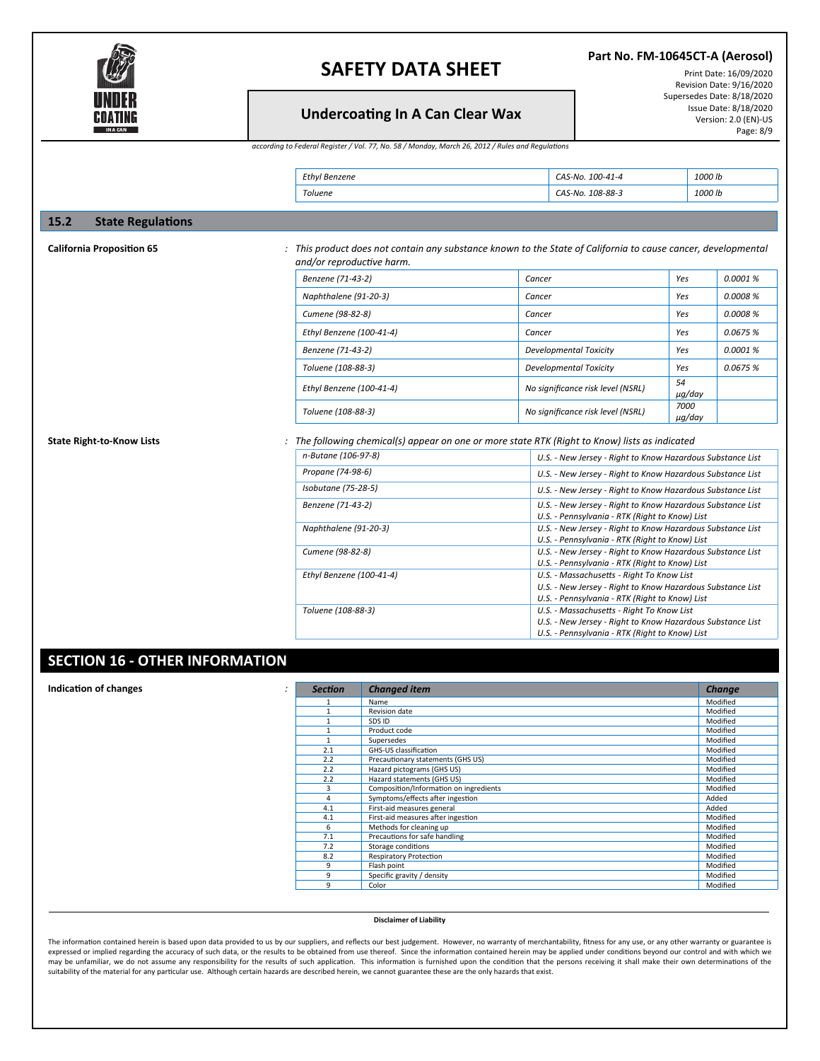

#### **Part No. FM-10645CT-A (Aerosol)**

## **Undercoa�ng In A Can Clear Wax**

Print Date: 16/09/2020 Revision Date: 9/16/2020 Supersedes Date: 8/18/2020 Issue Date: 8/18/2020 Version: 2.0 (EN)-US Page: 8/9

*according to Federal Register / Vol. 77, No. 58 / Monday, March 26, 2012 / Rules and Regulations*

| Ethyl<br>nzene | 100-41-4<br>`∆ऽ-N∩ | 'It |
|----------------|--------------------|-----|
| "oluene        | 108-88-3<br>`∆ऽ-N∩ | Ш   |

#### **15.2** State Regulations

#### California Proposition 65 7 11 7his product does not contain any substance known to the State of California to cause cancer, developmental *and/or reproductive harm.*

| Benzene (71-43-2)        | Cancer                            | Yes                | 0.0001% |
|--------------------------|-----------------------------------|--------------------|---------|
| Naphthalene (91-20-3)    | Cancer                            | Yes                | 0.0008% |
| Cumene (98-82-8)         | Cancer                            | Yes                | 0.0008% |
| Ethyl Benzene (100-41-4) | Cancer                            | Yes                | 0.0675% |
| Benzene (71-43-2)        | Developmental Toxicity            | Yes                | 0.0001% |
| Toluene (108-88-3)       | Developmental Toxicity            | Yes                | 0.0675% |
| Ethyl Benzene (100-41-4) | No significance risk level (NSRL) | 54<br>$\mu q$ /day |         |
| Toluene (108-88-3)       | No significance risk level (NSRL) | 7000<br>µg/day     |         |

#### State Right-to-Know Lists examples the following chemical(s) appear on one or more state RTK (Right to Know) lists as indicated

| n-Butane (106-97-8)      | U.S. - New Jersey - Right to Know Hazardous Substance List                                                                                                |
|--------------------------|-----------------------------------------------------------------------------------------------------------------------------------------------------------|
| Propane (74-98-6)        | U.S. - New Jersey - Right to Know Hazardous Substance List                                                                                                |
| Isobutane (75-28-5)      | U.S. - New Jersey - Right to Know Hazardous Substance List                                                                                                |
| Benzene (71-43-2)        | U.S. - New Jersey - Right to Know Hazardous Substance List<br>U.S. - Pennsylvania - RTK (Right to Know) List                                              |
| Naphthalene (91-20-3)    | U.S. - New Jersey - Right to Know Hazardous Substance List<br>U.S. - Pennsylvania - RTK (Right to Know) List                                              |
| Cumene (98-82-8)         | U.S. - New Jersey - Right to Know Hazardous Substance List<br>U.S. - Pennsylvania - RTK (Right to Know) List                                              |
| Ethyl Benzene (100-41-4) | U.S. - Massachusetts - Right To Know List<br>U.S. - New Jersey - Right to Know Hazardous Substance List<br>U.S. - Pennsylvania - RTK (Right to Know) List |
| Toluene (108-88-3)       | U.S. - Massachusetts - Right To Know List<br>U.S. - New Jersey - Right to Know Hazardous Substance List<br>U.S. - Pennsylvania - RTK (Right to Know) List |

## **SECTION 16 - OTHER INFORMATION**

| Indication of changes<br>$\bullet$<br>$\sim$ | <b>Section</b> | <b>Changed item</b>                    | Change   |
|----------------------------------------------|----------------|----------------------------------------|----------|
|                                              |                | Name                                   | Modified |
|                                              |                | Revision date                          | Modified |
|                                              |                | SDS ID                                 | Modified |
|                                              |                | Product code                           | Modified |
|                                              |                | Supersedes                             | Modified |
|                                              | 2.1            | GHS-US classification                  | Modified |
|                                              | 2.2            | Precautionary statements (GHS US)      | Modified |
|                                              | 2.2            | Hazard pictograms (GHS US)             | Modified |
|                                              | 2.2            | Hazard statements (GHS US)             | Modified |
|                                              | 3              | Composition/Information on ingredients | Modified |
|                                              |                | Symptoms/effects after ingestion       | Added    |
|                                              | 4.1            | First-aid measures general             | Added    |
|                                              | 4.1            | First-aid measures after ingestion     | Modified |
|                                              | 6              | Methods for cleaning up                | Modified |
|                                              | 7.1            | Precautions for safe handling          | Modified |
|                                              | 7.2            | Storage conditions                     | Modified |
|                                              | 8.2            | <b>Respiratory Protection</b>          | Modified |
|                                              | 9              | Flash point                            | Modified |
|                                              | 9              | Specific gravity / density             | Modified |
|                                              | 9              | Color                                  | Modified |

#### **Disclaimer of Liability**

The information contained herein is based upon data provided to us by our suppliers, and reflects our best judgement. However, no warranty of merchantability, fitness for any use, or any other warranty or guarantee is expressed or implied regarding the accuracy of such data, or the results to be obtained from use thereof. Since the information contained herein may be applied under conditions beyond our control and with which we expresse may be unfamiliar, we do not assume any responsibility for the results of such application. This information is furnished upon the condition that the persons receiving it shall make their own determinations of the suitability of the material for any particular use. Although certain hazards are described herein, we cannot guarantee these are the only hazards that exist.